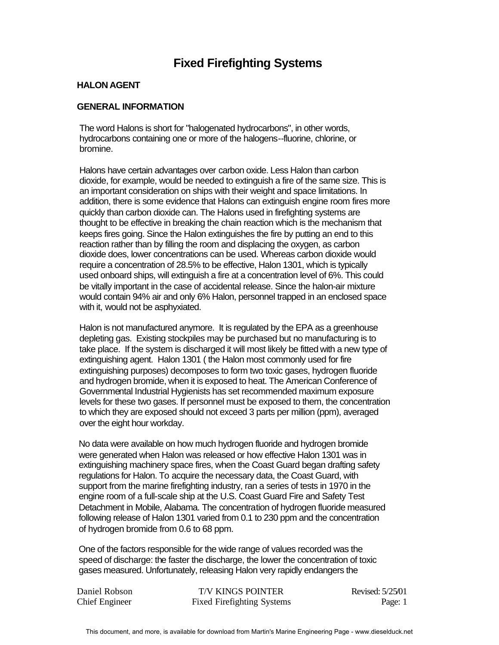# **Fixed Firefighting Systems**

## **HALON AGENT**

# **GENERAL INFORMATION**

The word Halons is short for "halogenated hydrocarbons", in other words, hydrocarbons containing one or more of the halogens--fluorine, chlorine, or bromine.

Halons have certain advantages over carbon oxide. Less Halon than carbon dioxide, for example, would be needed to extinguish a fire of the same size. This is an important consideration on ships with their weight and space limitations. In addition, there is some evidence that Halons can extinguish engine room fires more quickly than carbon dioxide can. The Halons used in firefighting systems are thought to be effective in breaking the chain reaction which is the mechanism that keeps fires going. Since the Halon extinguishes the fire by putting an end to this reaction rather than by filling the room and displacing the oxygen, as carbon dioxide does, lower concentrations can be used. Whereas carbon dioxide would require a concentration of 28.5% to be effective, Halon 1301, which is typically used onboard ships, will extinguish a fire at a concentration level of 6%. This could be vitally important in the case of accidental release. Since the halon-air mixture would contain 94% air and only 6% Halon, personnel trapped in an enclosed space with it, would not be asphyxiated.

Halon is not manufactured anymore. It is regulated by the EPA as a greenhouse depleting gas. Existing stockpiles may be purchased but no manufacturing is to take place. If the system is discharged it will most likely be fitted with a new type of extinguishing agent. Halon 1301 ( the Halon most commonly used for fire extinguishing purposes) decomposes to form two toxic gases, hydrogen fluoride and hydrogen bromide, when it is exposed to heat. The American Conference of Governmental Industrial Hygienists has set recommended maximum exposure levels for these two gases. If personnel must be exposed to them, the concentration to which they are exposed should not exceed 3 parts per million (ppm), averaged over the eight hour workday.

No data were available on how much hydrogen fluoride and hydrogen bromide were generated when Halon was released or how effective Halon 1301 was in extinguishing machinery space fires, when the Coast Guard began drafting safety regulations for Halon. To acquire the necessary data, the Coast Guard, with support from the marine firefighting industry, ran a series of tests in 1970 in the engine room of a full-scale ship at the U.S. Coast Guard Fire and Safety Test Detachment in Mobile, Alabama. The concentration of hydrogen fluoride measured following release of Halon 1301 varied from 0.1 to 230 ppm and the concentration of hydrogen bromide from 0.6 to 68 ppm.

One of the factors responsible for the wide range of values recorded was the speed of discharge: the faster the discharge, the lower the concentration of toxic gases measured. Unfortunately, releasing Halon very rapidly endangers the

| Daniel Robson         | <b>T/V KINGS POINTER</b>          | Revised: 5/25/01 |
|-----------------------|-----------------------------------|------------------|
| <b>Chief Engineer</b> | <b>Fixed Firefighting Systems</b> | Page: 1          |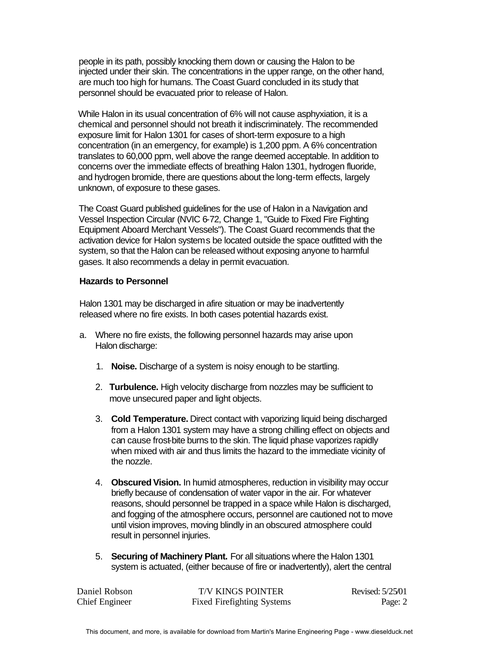people in its path, possibly knocking them down or causing the Halon to be injected under their skin. The concentrations in the upper range, on the other hand, are much too high for humans. The Coast Guard concluded in its study that personnel should be evacuated prior to release of Halon.

While Halon in its usual concentration of 6% will not cause asphyxiation, it is a chemical and personnel should not breath it indiscriminately. The recommended exposure limit for Halon 1301 for cases of short-term exposure to a high concentration (in an emergency, for example) is 1,200 ppm. A 6% concentration translates to 60,000 ppm, well above the range deemed acceptable. In addition to concerns over the immediate effects of breathing Halon 1301, hydrogen fluoride, and hydrogen bromide, there are questions about the long-term effects, largely unknown, of exposure to these gases.

The Coast Guard published guidelines for the use of Halon in a Navigation and Vessel Inspection Circular (NVIC 6-72, Change 1, "Guide to Fixed Fire Fighting Equipment Aboard Merchant Vessels"). The Coast Guard recommends that the activation device for Halon systems be located outside the space outfitted with the system, so that the Halon can be released without exposing anyone to harmful gases. It also recommends a delay in permit evacuation.

#### **Hazards to Personnel**

Halon 1301 may be discharged in afire situation or may be inadvertently released where no fire exists. In both cases potential hazards exist.

- a. Where no fire exists, the following personnel hazards may arise upon Halon discharge:
	- 1. **Noise.** Discharge of a system is noisy enough to be startling.
	- 2. **Turbulence.** High velocity discharge from nozzles may be sufficient to move unsecured paper and light objects.
	- 3. **Cold Temperature.** Direct contact with vaporizing liquid being discharged from a Halon 1301 system may have a strong chilling effect on objects and can cause frost-bite burns to the skin. The liquid phase vaporizes rapidly when mixed with air and thus limits the hazard to the immediate vicinity of the nozzle.
	- 4. **Obscured Vision.** In humid atmospheres, reduction in visibility may occur briefly because of condensation of water vapor in the air. For whatever reasons, should personnel be trapped in a space while Halon is discharged, and fogging of the atmosphere occurs, personnel are cautioned not to move until vision improves, moving blindly in an obscured atmosphere could result in personnel injuries.
	- 5. **Securing of Machinery Plant.** For all situations where the Halon 1301 system is actuated, (either because of fire or inadvertently), alert the central

| Daniel Robson  | <b>T/V KINGS POINTER</b>          | Revised: 5/25/01 |
|----------------|-----------------------------------|------------------|
| Chief Engineer | <b>Fixed Firefighting Systems</b> | Page: 2          |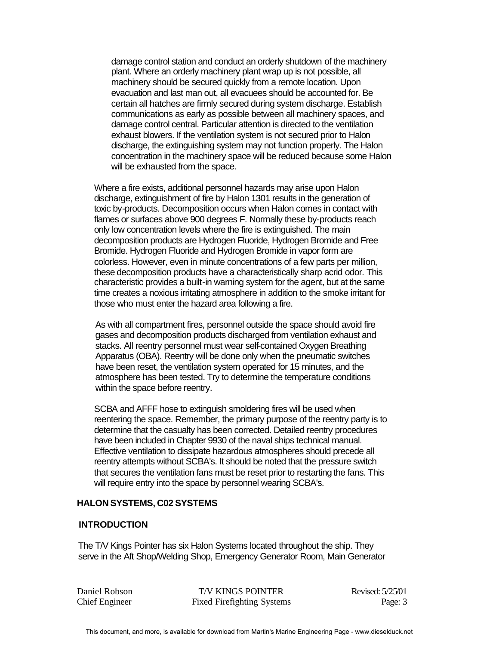damage control station and conduct an orderly shutdown of the machinery plant. Where an orderly machinery plant wrap up is not possible, all machinery should be secured quickly from a remote location. Upon evacuation and last man out, all evacuees should be accounted for. Be certain all hatches are firmly secured during system discharge. Establish communications as early as possible between all machinery spaces, and damage control central. Particular attention is directed to the ventilation exhaust blowers. If the ventilation system is not secured prior to Halon discharge, the extinguishing system may not function properly. The Halon concentration in the machinery space will be reduced because some Halon will be exhausted from the space.

Where a fire exists, additional personnel hazards may arise upon Halon discharge, extinguishment of fire by Halon 1301 results in the generation of toxic by-products. Decomposition occurs when Halon comes in contact with flames or surfaces above 900 degrees F. Normally these by-products reach only low concentration levels where the fire is extinguished. The main decomposition products are Hydrogen Fluoride, Hydrogen Bromide and Free Bromide. Hydrogen Fluoride and Hydrogen Bromide in vapor form are colorless. However, even in minute concentrations of a few parts per million, these decomposition products have a characteristically sharp acrid odor. This characteristic provides a built-in warning system for the agent, but at the same time creates a noxious irritating atmosphere in addition to the smoke irritant for those who must enter the hazard area following a fire.

As with all compartment fires, personnel outside the space should avoid fire gases and decomposition products discharged from ventilation exhaust and stacks. All reentry personnel must wear self-contained Oxygen Breathing Apparatus (OBA). Reentry will be done only when the pneumatic switches have been reset, the ventilation system operated for 15 minutes, and the atmosphere has been tested. Try to determine the temperature conditions within the space before reentry.

SCBA and AFFF hose to extinguish smoldering fires will be used when reentering the space. Remember, the primary purpose of the reentry party is to determine that the casualty has been corrected. Detailed reentry procedures have been included in Chapter 9930 of the naval ships technical manual. Effective ventilation to dissipate hazardous atmospheres should precede all reentry attempts without SCBA's. It should be noted that the pressure switch that secures the ventilation fans must be reset prior to restarting the fans. This will require entry into the space by personnel wearing SCBA's.

## **HALON SYSTEMS, C02 SYSTEMS**

#### **INTRODUCTION**

The T/V Kings Pointer has six Halon Systems located throughout the ship. They serve in the Aft Shop/Welding Shop, Emergency Generator Room, Main Generator

Daniel Robson T/V KINGS POINTER Revised: 5/25/01 Chief Engineer Fixed Firefighting Systems Page: 3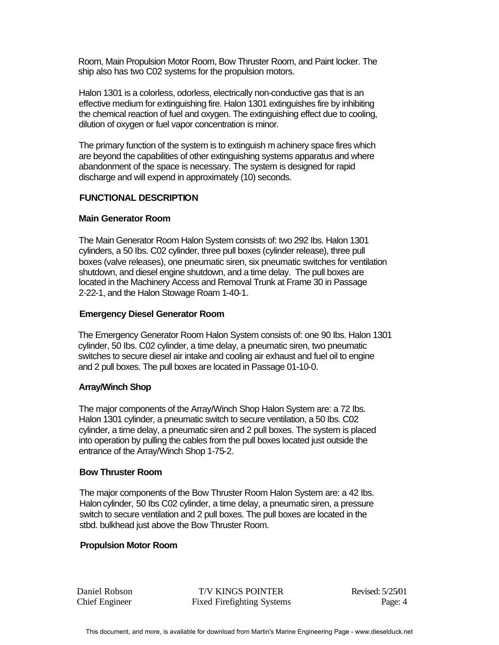Room, Main Propulsion Motor Room, Bow Thruster Room, and Paint locker. The ship also has two C02 systems for the propulsion motors.

Halon 1301 is a colorless, odorless, electrically non-conductive gas that is an effective medium for extinguishing fire. Halon 1301 extinguishes fire by inhibiting the chemical reaction of fuel and oxygen. The extinguishing effect due to cooling, dilution of oxygen or fuel vapor concentration is minor.

The primary function of the system is to extinguish m achinery space fires which are beyond the capabilities of other extinguishing systems apparatus and where abandonment of the space is necessary. The system is designed for rapid discharge and will expend in approximately (10) seconds.

## **FUNCTIONAL DESCRIPTION**

## **Main Generator Room**

The Main Generator Room Halon System consists of: two 292 Ibs. Halon 1301 cylinders, a 50 Ibs. C02 cylinder, three pull boxes (cylinder release), three pull boxes (valve releases), one pneumatic siren, six pneumatic switches for ventilation shutdown, and diesel engine shutdown, and a time delay. The pull boxes are located in the Machinery Access and Removal Trunk at Frame 30 in Passage 2-22-1, and the Halon Stowage Roam 1-40-1.

## **Emergency Diesel Generator Room**

The Emergency Generator Room Halon System consists of: one 90 Ibs. Halon 1301 cylinder, 50 Ibs. C02 cylinder, a time delay, a pneumatic siren, two pneumatic switches to secure diesel air intake and cooling air exhaust and fuel oil to engine and 2 pull boxes. The pull boxes are located in Passage 01-10-0.

## **Array/Winch Shop**

The major components of the Array/Winch Shop Halon System are: a 72 Ibs. Halon 1301 cylinder, a pneumatic switch to secure ventilation, a 50 Ibs. C02 cylinder, a time delay, a pneumatic siren and 2 pull boxes. The system is placed into operation by pulling the cables from the pull boxes located just outside the entrance of the Array/Winch Shop 1-75-2.

#### **Bow Thruster Room**

The major components of the Bow Thruster Room Halon System are: a 42 Ibs. Halon cylinder, 50 Ibs C02 cylinder, a time delay, a pneumatic siren, a pressure switch to secure ventilation and 2 pull boxes. The pull boxes are located in the stbd. bulkhead just above the Bow Thruster Room.

## **Propulsion Motor Room**

Daniel Robson T/V KINGS POINTER Revised: 5/25/01 Chief Engineer Fixed Firefighting Systems Page: 4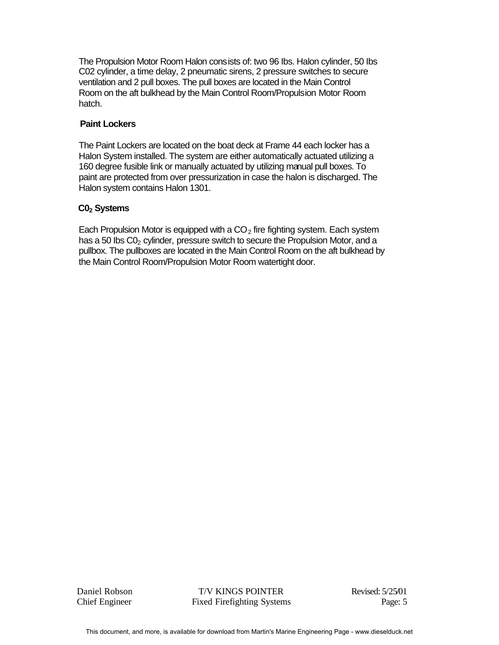The Propulsion Motor Room Halon consists of: two 96 Ibs. Halon cylinder, 50 Ibs C02 cylinder, a time delay, 2 pneumatic sirens, 2 pressure switches to secure ventilation and 2 pull boxes. The pull boxes are located in the Main Control Room on the aft bulkhead by the Main Control Room/Propulsion Motor Room hatch.

# **Paint Lockers**

The Paint Lockers are located on the boat deck at Frame 44 each locker has a Halon System installed. The system are either automatically actuated utilizing a 160 degree fusible link or manually actuated by utilizing manual pull boxes. To paint are protected from over pressurization in case the halon is discharged. The Halon system contains Halon 1301.

# **C02 Systems**

Each Propulsion Motor is equipped with a  $CO<sub>2</sub>$  fire fighting system. Each system has a 50 lbs  $CO<sub>2</sub>$  cylinder, pressure switch to secure the Propulsion Motor, and a pullbox. The pullboxes are located in the Main Control Room on the aft bulkhead by the Main Control Room/Propulsion Motor Room watertight door.

Daniel Robson T/V KINGS POINTER Revised: 5/25/01 Chief Engineer Fixed Firefighting Systems Page: 5